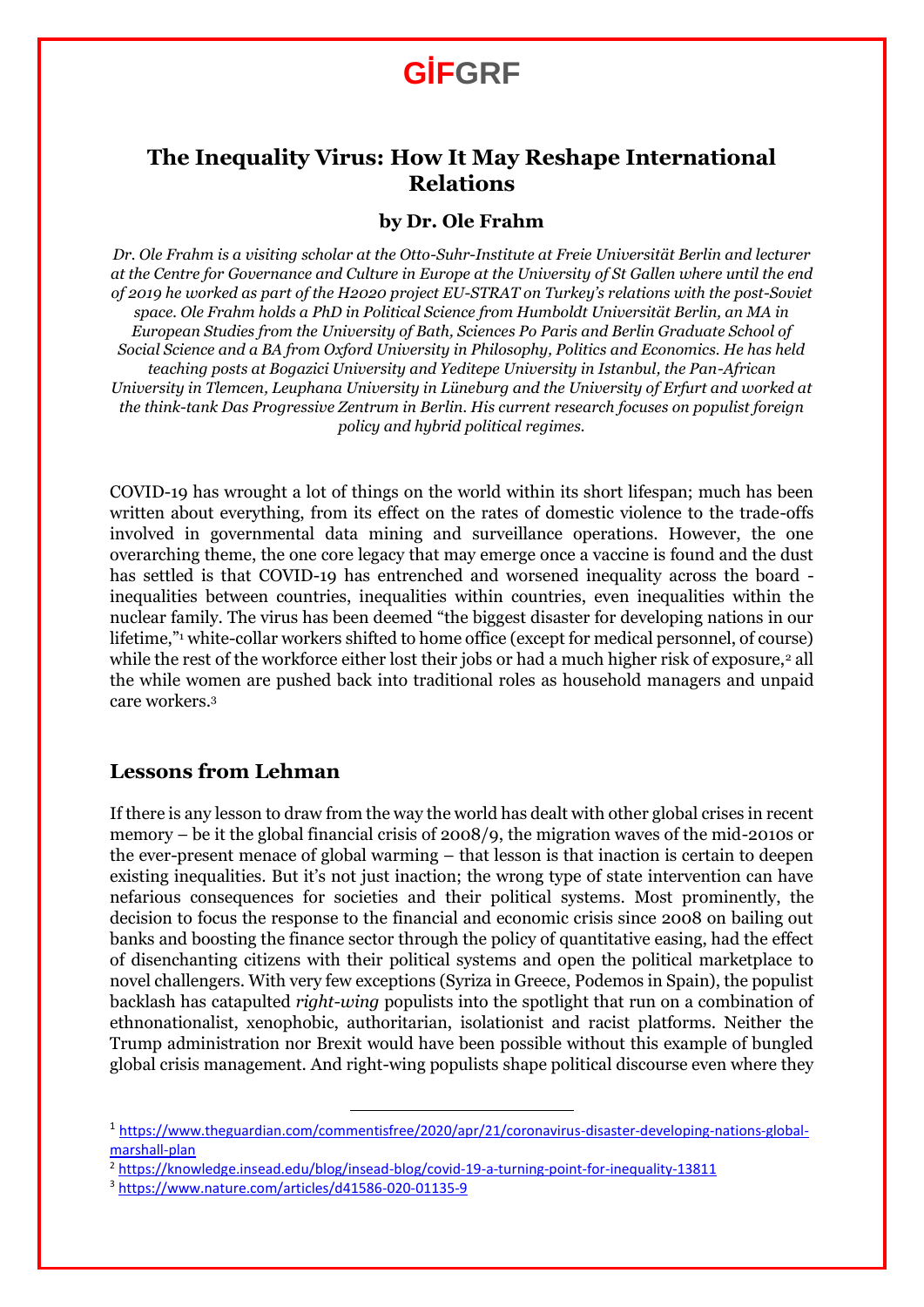## **The Inequality Virus: How It May Reshape International Relations**

#### **by Dr. Ole Frahm**

*Dr. Ole Frahm is a visiting scholar at the Otto-Suhr-Institute at Freie Universität Berlin and lecturer at the Centre for Governance and Culture in Europe at the University of St Gallen where until the end of 2019 he worked as part of the H2020 project EU-STRAT on Turkey's relations with the post-Soviet space. Ole Frahm holds a PhD in Political Science from Humboldt Universität Berlin, an MA in European Studies from the University of Bath, Sciences Po Paris and Berlin Graduate School of Social Science and a BA from Oxford University in Philosophy, Politics and Economics. He has held teaching posts at Bogazici University and Yeditepe University in Istanbul, the Pan-African University in Tlemcen, Leuphana University in Lüneburg and the University of Erfurt and worked at the think-tank Das Progressive Zentrum in Berlin. His current research focuses on populist foreign policy and hybrid political regimes.*

COVID-19 has wrought a lot of things on the world within its short lifespan; much has been written about everything, from its effect on the rates of domestic violence to the trade-offs involved in governmental data mining and surveillance operations. However, the one overarching theme, the one core legacy that may emerge once a vaccine is found and the dust has settled is that COVID-19 has entrenched and worsened inequality across the board inequalities between countries, inequalities within countries, even inequalities within the nuclear family. The virus has been deemed "the biggest disaster for developing nations in our lifetime," white-collar workers shifted to home office (except for medical personnel, of course) while the rest of the workforce either lost their jobs or had a much higher risk of exposure,<sup>2</sup> all the while women are pushed back into traditional roles as household managers and unpaid care workers.<sup>3</sup>

#### **Lessons from Lehman**

If there is any lesson to draw from the way the world has dealt with other global crises in recent memory – be it the global financial crisis of 2008/9, the migration waves of the mid-2010s or the ever-present menace of global warming – that lesson is that inaction is certain to deepen existing inequalities. But it's not just inaction; the wrong type of state intervention can have nefarious consequences for societies and their political systems. Most prominently, the decision to focus the response to the financial and economic crisis since 2008 on bailing out banks and boosting the finance sector through the policy of quantitative easing, had the effect of disenchanting citizens with their political systems and open the political marketplace to novel challengers. With very few exceptions (Syriza in Greece, Podemos in Spain), the populist backlash has catapulted *right-wing* populists into the spotlight that run on a combination of ethnonationalist, xenophobic, authoritarian, isolationist and racist platforms. Neither the Trump administration nor Brexit would have been possible without this example of bungled global crisis management. And right-wing populists shape political discourse even where they

 $\overline{\phantom{a}}$ 

<sup>&</sup>lt;sup>1</sup> [https://www.theguardian.com/commentisfree/2020/apr/21/coronavirus-disaster-developing-nations-global](https://www.theguardian.com/commentisfree/2020/apr/21/coronavirus-disaster-developing-nations-global-marshall-plan)[marshall-plan](https://www.theguardian.com/commentisfree/2020/apr/21/coronavirus-disaster-developing-nations-global-marshall-plan)

<sup>2</sup> <https://knowledge.insead.edu/blog/insead-blog/covid-19-a-turning-point-for-inequality-13811>

<sup>3</sup> <https://www.nature.com/articles/d41586-020-01135-9>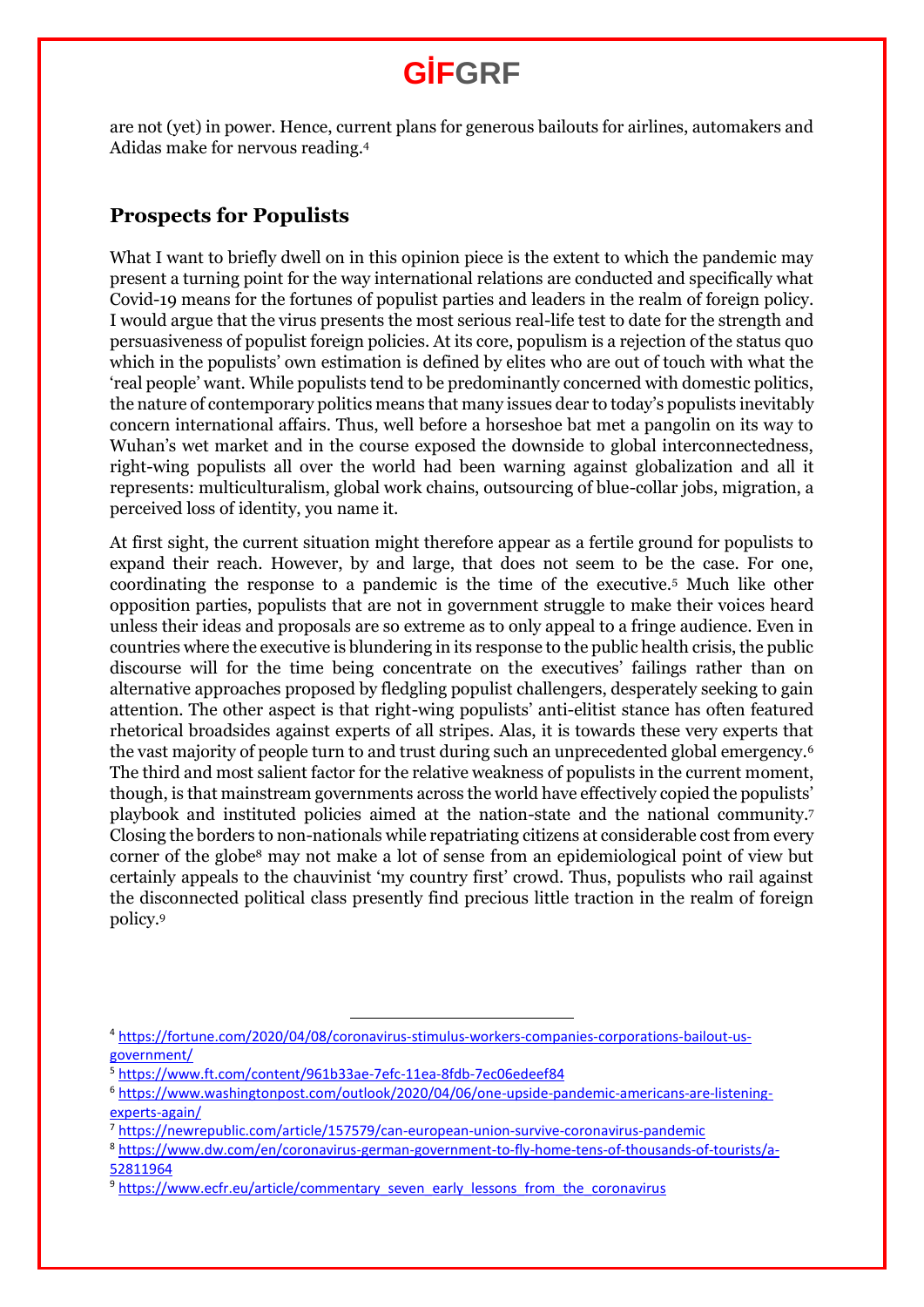are not (yet) in power. Hence, current plans for generous bailouts for airlines, automakers and Adidas make for nervous reading.<sup>4</sup>

#### **Prospects for Populists**

What I want to briefly dwell on in this opinion piece is the extent to which the pandemic may present a turning point for the way international relations are conducted and specifically what Covid-19 means for the fortunes of populist parties and leaders in the realm of foreign policy. I would argue that the virus presents the most serious real-life test to date for the strength and persuasiveness of populist foreign policies. At its core, populism is a rejection of the status quo which in the populists' own estimation is defined by elites who are out of touch with what the 'real people' want. While populists tend to be predominantly concerned with domestic politics, the nature of contemporary politics means that many issues dear to today's populists inevitably concern international affairs. Thus, well before a horseshoe bat met a pangolin on its way to Wuhan's wet market and in the course exposed the downside to global interconnectedness, right-wing populists all over the world had been warning against globalization and all it represents: multiculturalism, global work chains, outsourcing of blue-collar jobs, migration, a perceived loss of identity, you name it.

At first sight, the current situation might therefore appear as a fertile ground for populists to expand their reach. However, by and large, that does not seem to be the case. For one, coordinating the response to a pandemic is the time of the executive.<sup>5</sup> Much like other opposition parties, populists that are not in government struggle to make their voices heard unless their ideas and proposals are so extreme as to only appeal to a fringe audience. Even in countries where the executive is blundering in its response to the public health crisis, the public discourse will for the time being concentrate on the executives' failings rather than on alternative approaches proposed by fledgling populist challengers, desperately seeking to gain attention. The other aspect is that right-wing populists' anti-elitist stance has often featured rhetorical broadsides against experts of all stripes. Alas, it is towards these very experts that the vast majority of people turn to and trust during such an unprecedented global emergency.<sup>6</sup> The third and most salient factor for the relative weakness of populists in the current moment, though, is that mainstream governments across the world have effectively copied the populists' playbook and instituted policies aimed at the nation-state and the national community.<sup>7</sup> Closing the borders to non-nationals while repatriating citizens at considerable cost from every corner of the globe<sup>8</sup> may not make a lot of sense from an epidemiological point of view but certainly appeals to the chauvinist 'my country first' crowd. Thus, populists who rail against the disconnected political class presently find precious little traction in the realm of foreign policy.<sup>9</sup>

 $\overline{a}$ 

<sup>4</sup> [https://fortune.com/2020/04/08/coronavirus-stimulus-workers-companies-corporations-bailout-us](https://fortune.com/2020/04/08/coronavirus-stimulus-workers-companies-corporations-bailout-us-government/)[government/](https://fortune.com/2020/04/08/coronavirus-stimulus-workers-companies-corporations-bailout-us-government/)

<sup>5</sup> <https://www.ft.com/content/961b33ae-7efc-11ea-8fdb-7ec06edeef84>

<sup>6</sup> [https://www.washingtonpost.com/outlook/2020/04/06/one-upside-pandemic-americans-are-listening](https://www.washingtonpost.com/outlook/2020/04/06/one-upside-pandemic-americans-are-listening-experts-again/)[experts-again/](https://www.washingtonpost.com/outlook/2020/04/06/one-upside-pandemic-americans-are-listening-experts-again/)

<sup>7</sup> <https://newrepublic.com/article/157579/can-european-union-survive-coronavirus-pandemic>

<sup>8</sup> [https://www.dw.com/en/coronavirus-german-government-to-fly-home-tens-of-thousands-of-tourists/a-](https://www.dw.com/en/coronavirus-german-government-to-fly-home-tens-of-thousands-of-tourists/a-52811964)[52811964](https://www.dw.com/en/coronavirus-german-government-to-fly-home-tens-of-thousands-of-tourists/a-52811964)

<sup>&</sup>lt;sup>9</sup> [https://www.ecfr.eu/article/commentary\\_seven\\_early\\_lessons\\_from\\_the\\_coronavirus](https://www.ecfr.eu/article/commentary_seven_early_lessons_from_the_coronavirus)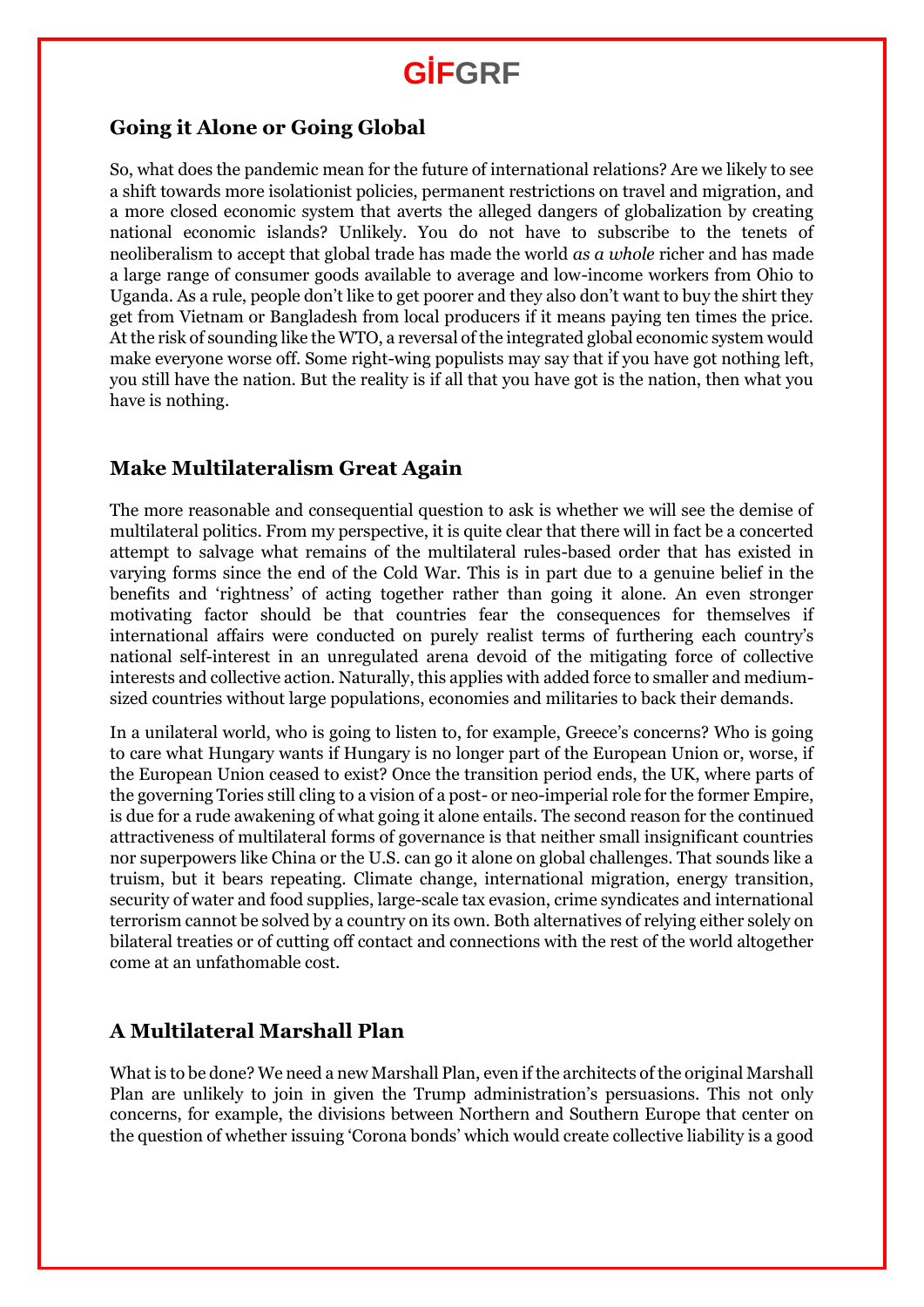### **Going it Alone or Going Global**

So, what does the pandemic mean for the future of international relations? Are we likely to see a shift towards more isolationist policies, permanent restrictions on travel and migration, and a more closed economic system that averts the alleged dangers of globalization by creating national economic islands? Unlikely. You do not have to subscribe to the tenets of neoliberalism to accept that global trade has made the world *as a whole* richer and has made a large range of consumer goods available to average and low-income workers from Ohio to Uganda. As a rule, people don't like to get poorer and they also don't want to buy the shirt they get from Vietnam or Bangladesh from local producers if it means paying ten times the price. At the risk of sounding like the WTO, a reversal of the integrated global economic system would make everyone worse off. Some right-wing populists may say that if you have got nothing left, you still have the nation. But the reality is if all that you have got is the nation, then what you have is nothing.

#### **Make Multilateralism Great Again**

The more reasonable and consequential question to ask is whether we will see the demise of multilateral politics. From my perspective, it is quite clear that there will in fact be a concerted attempt to salvage what remains of the multilateral rules-based order that has existed in varying forms since the end of the Cold War. This is in part due to a genuine belief in the benefits and 'rightness' of acting together rather than going it alone. An even stronger motivating factor should be that countries fear the consequences for themselves if international affairs were conducted on purely realist terms of furthering each country's national self-interest in an unregulated arena devoid of the mitigating force of collective interests and collective action. Naturally, this applies with added force to smaller and mediumsized countries without large populations, economies and militaries to back their demands.

In a unilateral world, who is going to listen to, for example, Greece's concerns? Who is going to care what Hungary wants if Hungary is no longer part of the European Union or, worse, if the European Union ceased to exist? Once the transition period ends, the UK, where parts of the governing Tories still cling to a vision of a post- or neo-imperial role for the former Empire, is due for a rude awakening of what going it alone entails. The second reason for the continued attractiveness of multilateral forms of governance is that neither small insignificant countries nor superpowers like China or the U.S. can go it alone on global challenges. That sounds like a truism, but it bears repeating. Climate change, international migration, energy transition, security of water and food supplies, large-scale tax evasion, crime syndicates and international terrorism cannot be solved by a country on its own. Both alternatives of relying either solely on bilateral treaties or of cutting off contact and connections with the rest of the world altogether come at an unfathomable cost.

### **A Multilateral Marshall Plan**

What is to be done? We need a new Marshall Plan, even if the architects of the original Marshall Plan are unlikely to join in given the Trump administration's persuasions. This not only concerns, for example, the divisions between Northern and Southern Europe that center on the question of whether issuing 'Corona bonds' which would create collective liability is a good